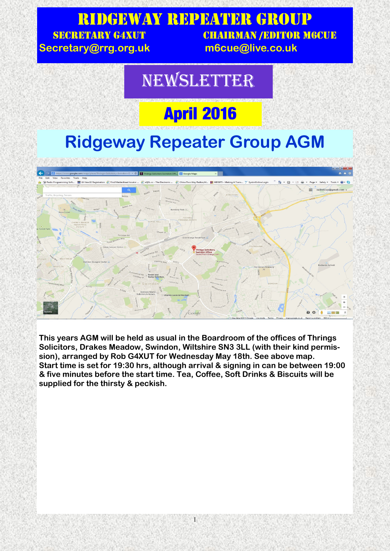#### Ridgeway Repeater Group SECRETARY G4XUT CHAIRMAN /EDITOR M6CUE **Secretary@rrg.org.uk m6cue@live.co.uk**

#### NEWSLETTER

## **April 2016**

### **Ridgeway Repeater Group AGM**



**This years AGM will be held as usual in the Boardroom of the offices of Thrings Solicitors, Drakes Meadow, Swindon, Wiltshire SN3 3LL (with their kind permission), arranged by Rob G4XUT for Wednesday May 18th. See above map. Start time is set for 19:30 hrs, although arrival & signing in can be between 19:00 & five minutes before the start time. Tea, Coffee, Soft Drinks & Biscuits will be supplied for the thirsty & peckish.**

1